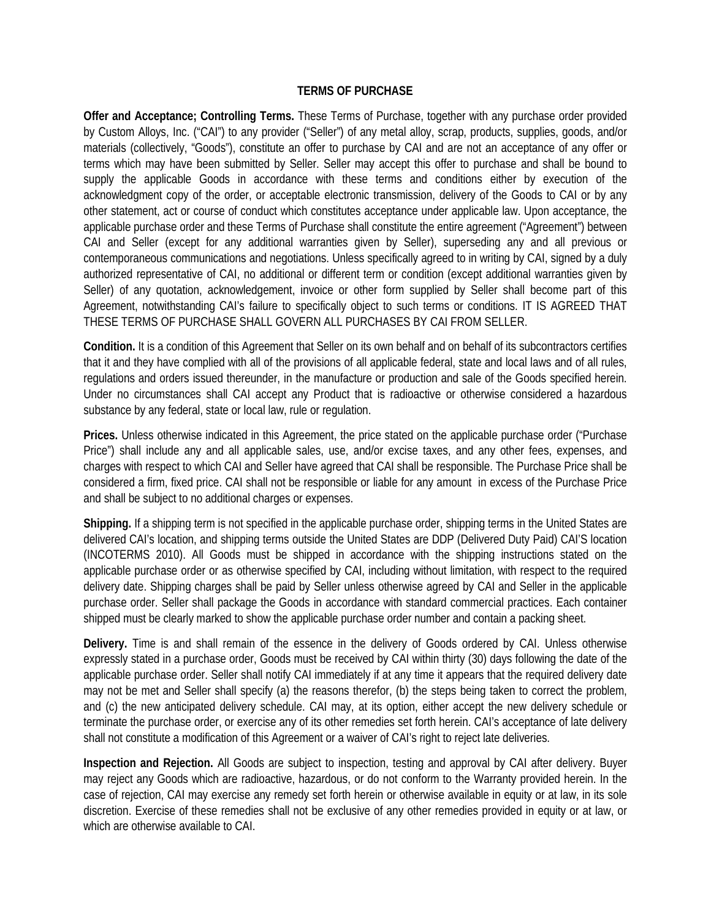## **TERMS OF PURCHASE**

**Offer and Acceptance; Controlling Terms.** These Terms of Purchase, together with any purchase order provided by Custom Alloys, Inc. ("CAI") to any provider ("Seller") of any metal alloy, scrap, products, supplies, goods, and/or materials (collectively, "Goods"), constitute an offer to purchase by CAI and are not an acceptance of any offer or terms which may have been submitted by Seller. Seller may accept this offer to purchase and shall be bound to supply the applicable Goods in accordance with these terms and conditions either by execution of the acknowledgment copy of the order, or acceptable electronic transmission, delivery of the Goods to CAI or by any other statement, act or course of conduct which constitutes acceptance under applicable law. Upon acceptance, the applicable purchase order and these Terms of Purchase shall constitute the entire agreement ("Agreement") between CAI and Seller (except for any additional warranties given by Seller), superseding any and all previous or contemporaneous communications and negotiations. Unless specifically agreed to in writing by CAI, signed by a duly authorized representative of CAI, no additional or different term or condition (except additional warranties given by Seller) of any quotation, acknowledgement, invoice or other form supplied by Seller shall become part of this Agreement, notwithstanding CAI's failure to specifically object to such terms or conditions. IT IS AGREED THAT THESE TERMS OF PURCHASE SHALL GOVERN ALL PURCHASES BY CAI FROM SELLER.

**Condition.** It is a condition of this Agreement that Seller on its own behalf and on behalf of its subcontractors certifies that it and they have complied with all of the provisions of all applicable federal, state and local laws and of all rules, regulations and orders issued thereunder, in the manufacture or production and sale of the Goods specified herein. Under no circumstances shall CAI accept any Product that is radioactive or otherwise considered a hazardous substance by any federal, state or local law, rule or regulation.

**Prices.** Unless otherwise indicated in this Agreement, the price stated on the applicable purchase order ("Purchase Price") shall include any and all applicable sales, use, and/or excise taxes, and any other fees, expenses, and charges with respect to which CAI and Seller have agreed that CAI shall be responsible. The Purchase Price shall be considered a firm, fixed price. CAI shall not be responsible or liable for any amount in excess of the Purchase Price and shall be subject to no additional charges or expenses.

**Shipping.** If a shipping term is not specified in the applicable purchase order, shipping terms in the United States are delivered CAI's location, and shipping terms outside the United States are DDP (Delivered Duty Paid) CAI'S location (INCOTERMS 2010). All Goods must be shipped in accordance with the shipping instructions stated on the applicable purchase order or as otherwise specified by CAI, including without limitation, with respect to the required delivery date. Shipping charges shall be paid by Seller unless otherwise agreed by CAI and Seller in the applicable purchase order. Seller shall package the Goods in accordance with standard commercial practices. Each container shipped must be clearly marked to show the applicable purchase order number and contain a packing sheet.

**Delivery.** Time is and shall remain of the essence in the delivery of Goods ordered by CAI. Unless otherwise expressly stated in a purchase order, Goods must be received by CAI within thirty (30) days following the date of the applicable purchase order. Seller shall notify CAI immediately if at any time it appears that the required delivery date may not be met and Seller shall specify (a) the reasons therefor, (b) the steps being taken to correct the problem, and (c) the new anticipated delivery schedule. CAI may, at its option, either accept the new delivery schedule or terminate the purchase order, or exercise any of its other remedies set forth herein. CAI's acceptance of late delivery shall not constitute a modification of this Agreement or a waiver of CAI's right to reject late deliveries.

**Inspection and Rejection.** All Goods are subject to inspection, testing and approval by CAI after delivery. Buyer may reject any Goods which are radioactive, hazardous, or do not conform to the Warranty provided herein. In the case of rejection, CAI may exercise any remedy set forth herein or otherwise available in equity or at law, in its sole discretion. Exercise of these remedies shall not be exclusive of any other remedies provided in equity or at law, or which are otherwise available to CAI.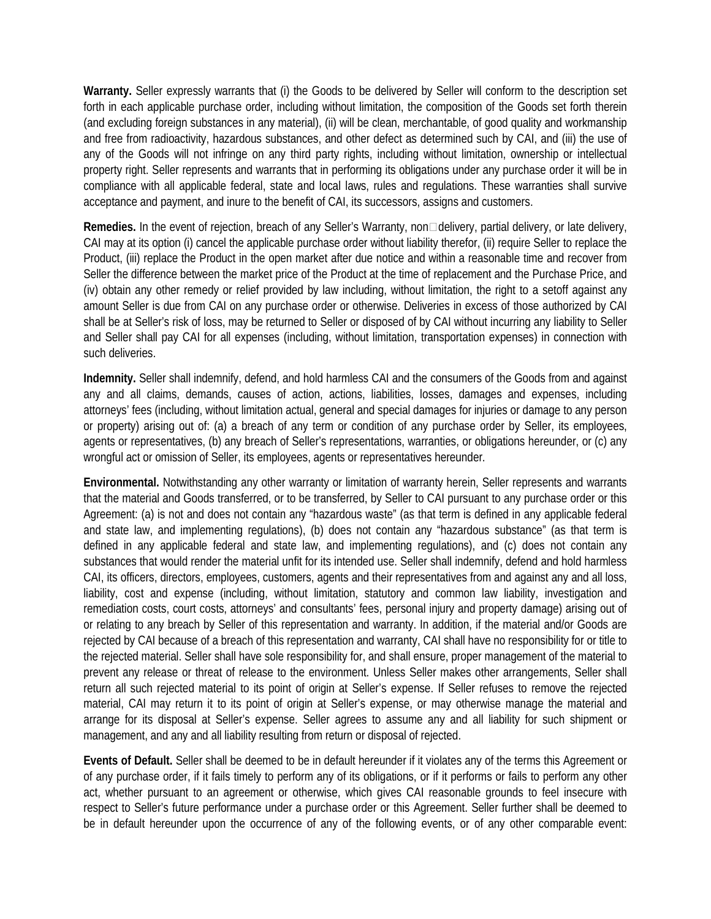**Warranty.** Seller expressly warrants that (i) the Goods to be delivered by Seller will conform to the description set forth in each applicable purchase order, including without limitation, the composition of the Goods set forth therein (and excluding foreign substances in any material), (ii) will be clean, merchantable, of good quality and workmanship and free from radioactivity, hazardous substances, and other defect as determined such by CAI, and (iii) the use of any of the Goods will not infringe on any third party rights, including without limitation, ownership or intellectual property right. Seller represents and warrants that in performing its obligations under any purchase order it will be in compliance with all applicable federal, state and local laws, rules and regulations. These warranties shall survive acceptance and payment, and inure to the benefit of CAI, its successors, assigns and customers.

**Remedies.** In the event of rejection, breach of any Seller's Warranty, non□delivery, partial delivery, or late delivery, CAI may at its option (i) cancel the applicable purchase order without liability therefor, (ii) require Seller to replace the Product, (iii) replace the Product in the open market after due notice and within a reasonable time and recover from Seller the difference between the market price of the Product at the time of replacement and the Purchase Price, and (iv) obtain any other remedy or relief provided by law including, without limitation, the right to a setoff against any amount Seller is due from CAI on any purchase order or otherwise. Deliveries in excess of those authorized by CAI shall be at Seller's risk of loss, may be returned to Seller or disposed of by CAI without incurring any liability to Seller and Seller shall pay CAI for all expenses (including, without limitation, transportation expenses) in connection with such deliveries.

**Indemnity.** Seller shall indemnify, defend, and hold harmless CAI and the consumers of the Goods from and against any and all claims, demands, causes of action, actions, liabilities, losses, damages and expenses, including attorneys' fees (including, without limitation actual, general and special damages for injuries or damage to any person or property) arising out of: (a) a breach of any term or condition of any purchase order by Seller, its employees, agents or representatives, (b) any breach of Seller's representations, warranties, or obligations hereunder, or (c) any wrongful act or omission of Seller, its employees, agents or representatives hereunder.

**Environmental.** Notwithstanding any other warranty or limitation of warranty herein, Seller represents and warrants that the material and Goods transferred, or to be transferred, by Seller to CAI pursuant to any purchase order or this Agreement: (a) is not and does not contain any "hazardous waste" (as that term is defined in any applicable federal and state law, and implementing regulations), (b) does not contain any "hazardous substance" (as that term is defined in any applicable federal and state law, and implementing regulations), and (c) does not contain any substances that would render the material unfit for its intended use. Seller shall indemnify, defend and hold harmless CAI, its officers, directors, employees, customers, agents and their representatives from and against any and all loss, liability, cost and expense (including, without limitation, statutory and common law liability, investigation and remediation costs, court costs, attorneys' and consultants' fees, personal injury and property damage) arising out of or relating to any breach by Seller of this representation and warranty. In addition, if the material and/or Goods are rejected by CAI because of a breach of this representation and warranty, CAI shall have no responsibility for or title to the rejected material. Seller shall have sole responsibility for, and shall ensure, proper management of the material to prevent any release or threat of release to the environment. Unless Seller makes other arrangements, Seller shall return all such rejected material to its point of origin at Seller's expense. If Seller refuses to remove the rejected material, CAI may return it to its point of origin at Seller's expense, or may otherwise manage the material and arrange for its disposal at Seller's expense. Seller agrees to assume any and all liability for such shipment or management, and any and all liability resulting from return or disposal of rejected.

**Events of Default.** Seller shall be deemed to be in default hereunder if it violates any of the terms this Agreement or of any purchase order, if it fails timely to perform any of its obligations, or if it performs or fails to perform any other act, whether pursuant to an agreement or otherwise, which gives CAI reasonable grounds to feel insecure with respect to Seller's future performance under a purchase order or this Agreement. Seller further shall be deemed to be in default hereunder upon the occurrence of any of the following events, or of any other comparable event: